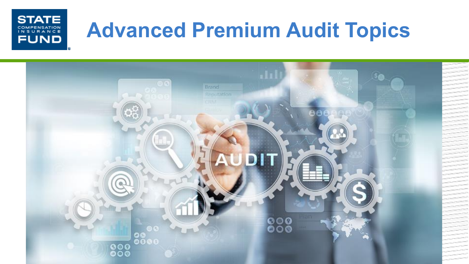#### **STATE COMPENSATION**<br>INSURANCE **FUND**

## **Advanced Premium Audit Topics**

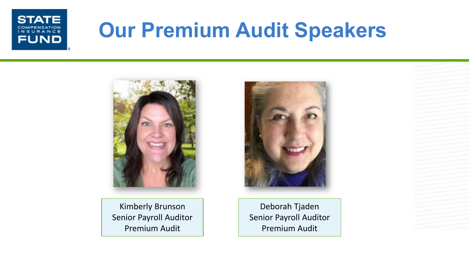

## **Our Premium Audit Speakers**



Kimberly Brunson Senior Payroll Auditor Premium Audit



Deborah Tjaden Senior Payroll Auditor Premium Audit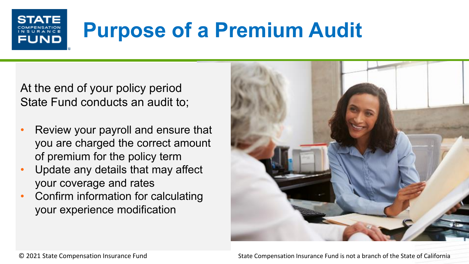## **Purpose of a Premium Audit**

At the end of your policy period State Fund conducts an audit to;

**FUND** 

- Review your payroll and ensure that you are charged the correct amount of premium for the policy term
- Update any details that may affect your coverage and rates
- Confirm information for calculating your experience modification

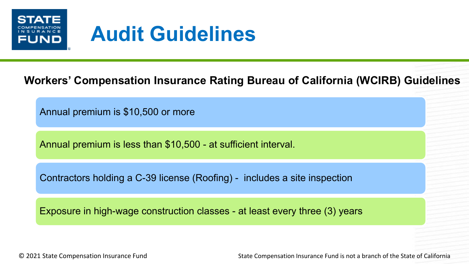

### **Audit Guidelines**

#### **Workers' Compensation Insurance Rating Bureau of California (WCIRB) Guidelines**

Annual premium is \$10,500 or more

Annual premium is less than \$10,500 - at sufficient interval.

Contractors holding a C-39 license (Roofing) - includes a site inspection

Exposure in high-wage construction classes - at least every three (3) years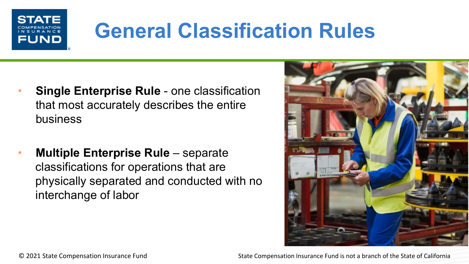

## **General Classification Rules**

- **Single Enterprise Rule**  one classification that most accurately describes the entire business
- **Multiple Enterprise Rule**  separate classifications for operations that are physically separated and conducted with no interchange of labor

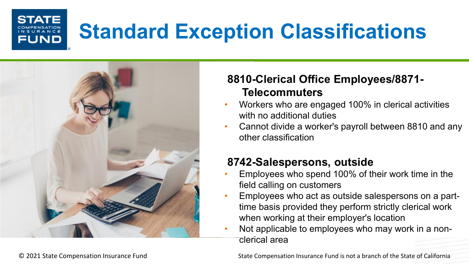## **Standard Exception Classifications**



FUND

#### **8810-Clerical Office Employees/8871- Telecommuters**

- Workers who are engaged 100% in clerical activities with no additional duties
- Cannot divide a worker's payroll between 8810 and any other classification

#### **8742-Salespersons, outside**

- Employees who spend 100% of their work time in the field calling on customers
- Employees who act as outside salespersons on a parttime basis provided they perform strictly clerical work when working at their employer's location
- Not applicable to employees who may work in a nonclerical area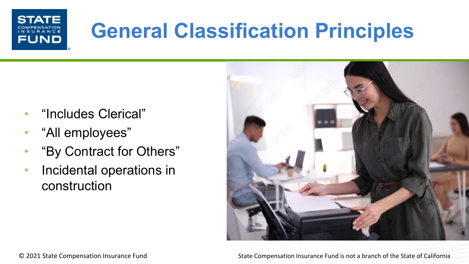## **General Classification Principles**

- "Includes Clerical"
- "All employees"

**STATE** 

**FUND** 

- "By Contract for Others"
- Incidental operations in construction

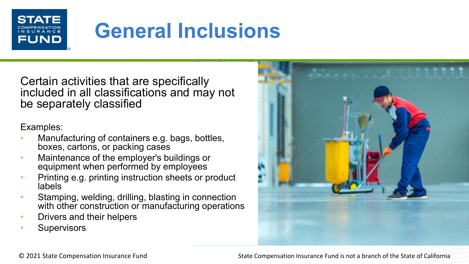

## **General Inclusions**

Certain activities that are specifically included in all classifications and may not be separately classified

Examples:

- Manufacturing of containers e.g. bags, bottles, boxes, cartons, or packing cases
- Maintenance of the employer's buildings or equipment when performed by employees
- Printing e.g. printing instruction sheets or product labels
- Stamping, welding, drilling, blasting in connection with other construction or manufacturing operations
- Drivers and their helpers
- **Supervisors**



© 2021 State Compensation Insurance Fund State Compensation Insurance Fund is not a branch of the State of California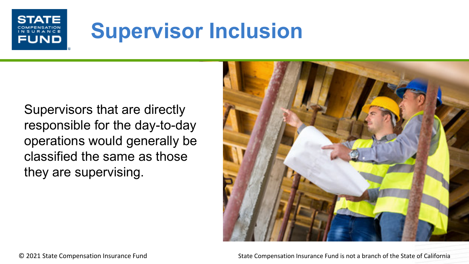#### ST FUND

## **Supervisor Inclusion**

Supervisors that are directly responsible for the day-to-day operations would generally be classified the same as those they are supervising.

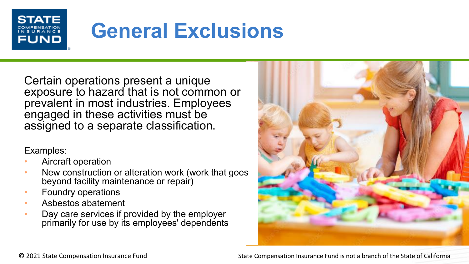

## **General Exclusions**

Certain operations present a unique exposure to hazard that is not common or prevalent in most industries. Employees engaged in these activities must be assigned to a separate classification.

Examples:

- Aircraft operation
- New construction or alteration work (work that goes beyond facility maintenance or repair)
- Foundry operations
- Asbestos abatement
- Day care services if provided by the employer primarily for use by its employees' dependents



© 2021 State Compensation Insurance Fund State Compensation Insurance Fund is not a branch of the State of California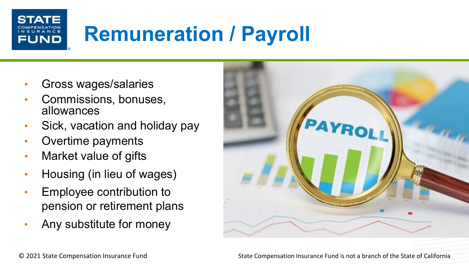## **Remuneration / Payroll**

• Gross wages/salaries

FUND

- Commissions, bonuses, allowances
- Sick, vacation and holiday pay
- Overtime payments
- Market value of gifts
- Housing (in lieu of wages)
- Employee contribution to pension or retirement plans
- Any substitute for money

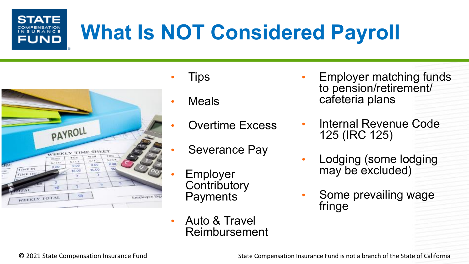### **STATE** FUND

## **What Is NOT Considered Payroll**



- Tips
- Meals
- Overtime Excess
- Severance Pay
- **Employer Contributory Payments**
- Auto & Travel Reimbursement
- Employer matching funds to pension/retirement/ cafeteria plans
- Internal Revenue Code 125 (IRC 125)
- Lodging (some lodging may be excluded)
- Some prevailing wage fringe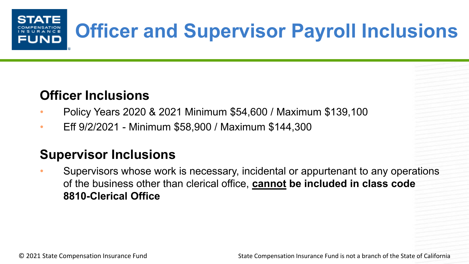### **Officer and Supervisor Payroll Inclusions** FUND

#### **Officer Inclusions**

- Policy Years 2020 & 2021 Minimum \$54,600 / Maximum \$139,100
- Eff 9/2/2021 Minimum \$58,900 / Maximum \$144,300

#### **Supervisor Inclusions**

• Supervisors whose work is necessary, incidental or appurtenant to any operations of the business other than clerical office, **cannot be included in class code 8810-Clerical Office**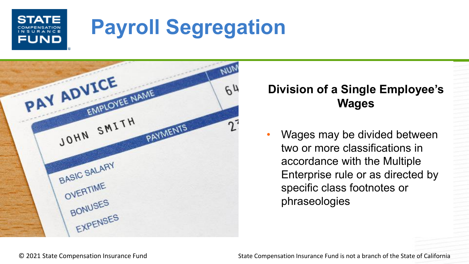### **STAT FUND**

## **Payroll Segregation**



#### **Division of a Single Employee's Wages**

Wages may be divided between two or more classifications in accordance with the Multiple Enterprise rule or as directed by specific class footnotes or phraseologies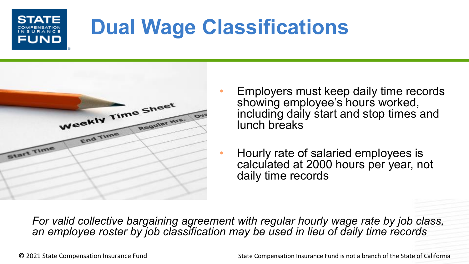# FUND

## **Dual Wage Classifications**



- Employers must keep daily time records showing employee's hours worked, including daily start and stop times and lunch breaks
- Hourly rate of salaried employees is calculated at 2000 hours per year, not daily time records

*For valid collective bargaining agreement with regular hourly wage rate by job class, an employee roster by job classification may be used in lieu of daily time records*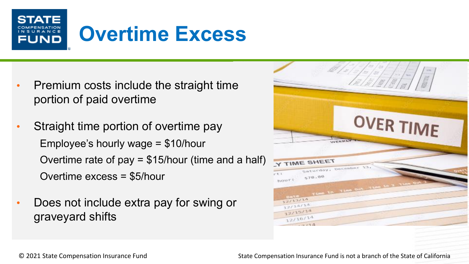

- Premium costs include the straight time portion of paid overtime
- Straight time portion of overtime pay Employee's hourly wage = \$10/hour Overtime rate of pay = \$15/hour (time and a half) Overtime excess = \$5/hour
- Does not include extra pay for swing or graveyard shifts

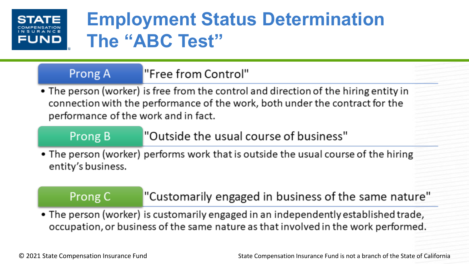# **FUND**

### **Employment Status Determination The "ABC Test"**

#### "Free from Control" Prong A

• The person (worker) is free from the control and direction of the hiring entity in connection with the performance of the work, both under the contract for the performance of the work and in fact.

#### Prong B

"Outside the usual course of business"

• The person (worker) performs work that is outside the usual course of the hiring entity's business.

#### Prong C

"Customarily engaged in business of the same nature"

. The person (worker) is customarily engaged in an independently established trade, occupation, or business of the same nature as that involved in the work performed.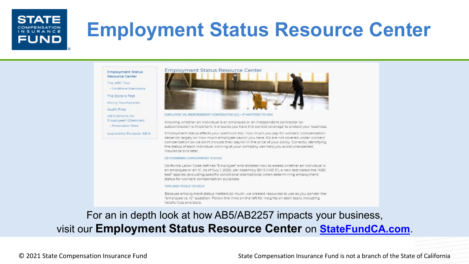#### **STATE** INSURANCE FUND

### **Employment Status Resource Center**

#### **Employment Status Desource Center** The ARC Test

- Conditional Exemptions

The Borello Test

Policy Touchpoints

Audit Prep

AB S-Who Is An Employee? (Webinar) - Presentation Slides

Legislative Purpose AB 5



#### EMPLOYEE VS. INDEPENDENT CONTRACTOR (IC) ~ IT MATTERS TO YOU

Knowing whether an individual is an employee or an independent contractor for subcontractor) is important. It ensures you have the correct coverage to protect your business.

Employment status affects your premium too. How much you pay for workers' compensation. depends largely on how much employee payroll you have ICs are not covered under workers' compensation so we don't include their payroll in the price of your policy. Correctly identifying the status of each individual working at your company can help you avoid unexpected Insurance bills later.

#### DETERMINING EMPLOYMENT STATUS

California Labor Code defines "Employee" and dictates how to assess whether an individual is an employee or an IC. As of July 1, 2020, per Assembly BIII 5 ("AB 5"), a new test called the "ABC test" applies jexcluding specific conditional exemptions) when determining employment status for workers' compensation purposes.

#### TIDS AND TOOLS TO HELD

Because employment status matters so much, we created resources to use as you ponder the "employee vs. IC" question. Follow the links on the left for insights on each topic, including heloful tips and tools.

#### For an in depth look at how AB5/AB2257 impacts your business, visit our **Employment Status Resource Center** on **StateFundCA.com**.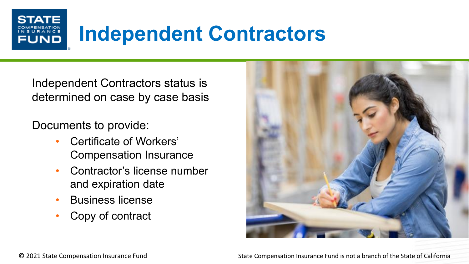## **Independent Contractors**

Independent Contractors status is determined on case by case basis

Documents to provide:

**STAT** 

**FUND** 

- Certificate of Workers' Compensation Insurance
- Contractor's license number and expiration date
- Business license
- Copy of contract

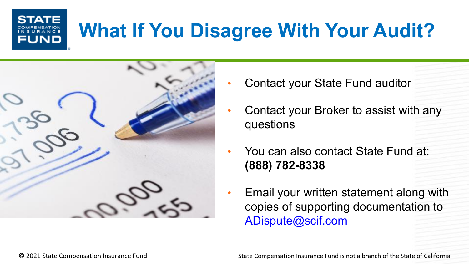## **What If You Disagree With Your Audit?**



- Contact your State Fund auditor
- Contact your Broker to assist with any questions
- You can also contact State Fund at: **(888) 782-8338**
- Email your written statement along with copies of supporting documentation to [ADispute@scif.com](mailto:ADispute@scif.com)

**STATE** 

FUND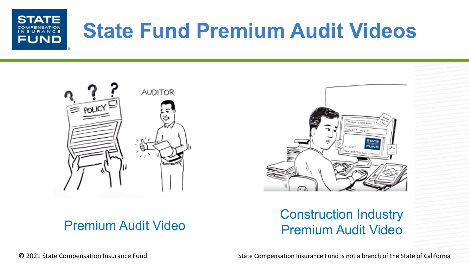





#### Premium Audit Video Construction Industry<br>Premium Audit Video Premium Audit Video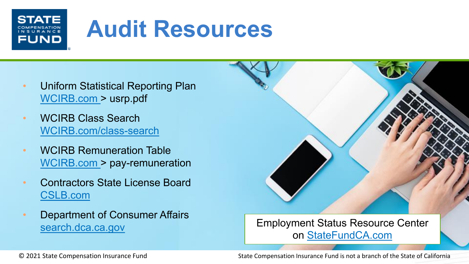### **STAT** FUND

## **Audit Resources**

- Uniform Statistical Reporting Plan WCIRB.com > usrp.pdf
- WCIRB Class Search WCIRB.com/class-search
- WCIRB Remuneration Table WCIRB.com > pay-remuneration
- Contractors State License Board CSLB.com
- Department of Consumer Affairs

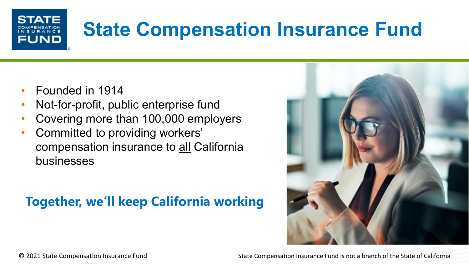# FUND

## **State Compensation Insurance Fund**

- Founded in 1914
- Not-for-profit, public enterprise fund
- Covering more than 100,000 employers
- Committed to providing workers' compensation insurance to all California businesses

#### **Together, we'll keep California working**